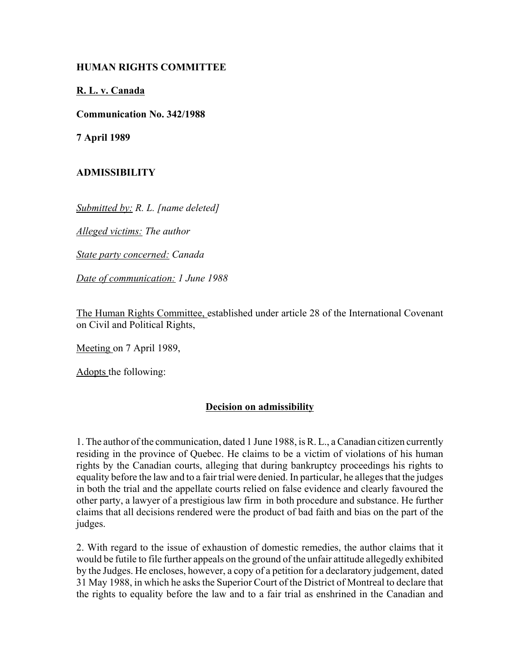## **HUMAN RIGHTS COMMITTEE**

## **R. L. v. Canada**

**Communication No. 342/1988**

**7 April 1989**

## **ADMISSIBILITY**

*Submitted by: R. L. [name deleted]*

*Alleged victims: The author*

*State party concerned: Canada*

*Date of communication: 1 June 1988*

The Human Rights Committee, established under article 28 of the International Covenant on Civil and Political Rights,

Meeting on 7 April 1989,

Adopts the following:

## **Decision on admissibility**

1. The author of the communication, dated 1 June 1988, is R. L., a Canadian citizen currently residing in the province of Quebec. He claims to be a victim of violations of his human rights by the Canadian courts, alleging that during bankruptcy proceedings his rights to equality before the law and to a fair trial were denied. In particular, he alleges that the judges in both the trial and the appellate courts relied on false evidence and clearly favoured the other party, a lawyer of a prestigious law firm in both procedure and substance. He further claims that all decisions rendered were the product of bad faith and bias on the part of the judges.

2. With regard to the issue of exhaustion of domestic remedies, the author claims that it would be futile to file further appeals on the ground of the unfair attitude allegedly exhibited by the Judges. He encloses, however, a copy of a petition for a declaratory judgement, dated 31 May 1988, in which he asks the Superior Court of the District of Montreal to declare that the rights to equality before the law and to a fair trial as enshrined in the Canadian and